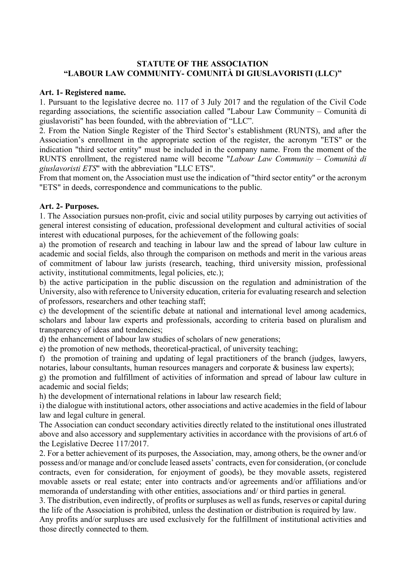## **STATUTE OF THE ASSOCIATION "LABOUR LAW COMMUNITY- COMUNITÀ DI GIUSLAVORISTI (LLC)"**

#### **Art. 1- Registered name.**

1. Pursuant to the legislative decree no. 117 of 3 July 2017 and the regulation of the Civil Code regarding associations, the scientific association called "Labour Law Community – Comunità di giuslavoristi" has been founded, with the abbreviation of "LLC".

2. From the Nation Single Register of the Third Sector's establishment (RUNTS), and after the Association's enrollment in the appropriate section of the register, the acronym "ETS" or the indication "third sector entity" must be included in the company name. From the moment of the RUNTS enrollment, the registered name will become "*Labour Law Community – Comunità di giuslavoristi ETS*" with the abbreviation "LLC ETS".

From that moment on, the Association must use the indication of "third sector entity" or the acronym "ETS" in deeds, correspondence and communications to the public.

#### **Art. 2- Purposes.**

1. The Association pursues non-profit, civic and social utility purposes by carrying out activities of general interest consisting of education, professional development and cultural activities of social interest with educational purposes, for the achievement of the following goals:

a) the promotion of research and teaching in labour law and the spread of labour law culture in academic and social fields, also through the comparison on methods and merit in the various areas of commitment of labour law jurists (research, teaching, third university mission, professional activity, institutional commitments, legal policies, etc.);

b) the active participation in the public discussion on the regulation and administration of the University, also with reference to University education, criteria for evaluating research and selection of professors, researchers and other teaching staff;

c) the development of the scientific debate at national and international level among academics, scholars and labour law experts and professionals, according to criteria based on pluralism and transparency of ideas and tendencies;

d) the enhancement of labour law studies of scholars of new generations;

e) the promotion of new methods, theoretical-practical, of university teaching;

f) the promotion of training and updating of legal practitioners of the branch (judges, lawyers, notaries, labour consultants, human resources managers and corporate & business law experts);

g) the promotion and fulfillment of activities of information and spread of labour law culture in academic and social fields;

h) the development of international relations in labour law research field;

i) the dialogue with institutional actors, other associations and active academies in the field of labour law and legal culture in general.

The Association can conduct secondary activities directly related to the institutional ones illustrated above and also accessory and supplementary activities in accordance with the provisions of art.6 of the Legislative Decree 117/2017.

2. For a better achievement of its purposes, the Association, may, among others, be the owner and/or possess and/or manage and/or conclude leased assets' contracts, even for consideration, (or conclude contracts, even for consideration, for enjoyment of goods), be they movable assets, registered movable assets or real estate; enter into contracts and/or agreements and/or affiliations and/or memoranda of understanding with other entities, associations and/ or third parties in general.

3. The distribution, even indirectly, of profits or surpluses as well as funds, reserves or capital during the life of the Association is prohibited, unless the destination or distribution is required by law.

Any profits and/or surpluses are used exclusively for the fulfillment of institutional activities and those directly connected to them.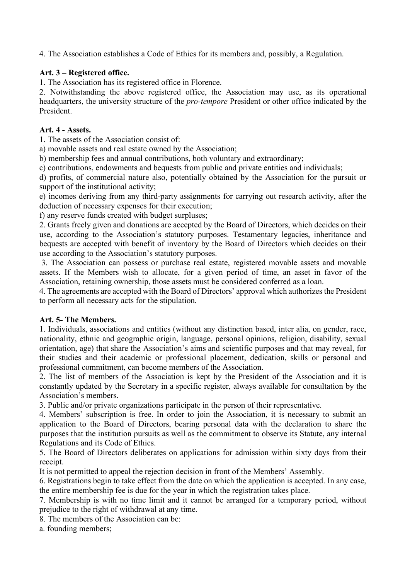4. The Association establishes a Code of Ethics for its members and, possibly, a Regulation.

## **Art. 3 – Registered office.**

1. The Association has its registered office in Florence.

2. Notwithstanding the above registered office, the Association may use, as its operational headquarters, the university structure of the *pro-tempore* President or other office indicated by the President.

## **Art. 4 - Assets.**

1. The assets of the Association consist of:

a) movable assets and real estate owned by the Association;

b) membership fees and annual contributions, both voluntary and extraordinary;

c) contributions, endowments and bequests from public and private entities and individuals;

d) profits, of commercial nature also, potentially obtained by the Association for the pursuit or support of the institutional activity;

e) incomes deriving from any third-party assignments for carrying out research activity, after the deduction of necessary expenses for their execution;

f) any reserve funds created with budget surpluses;

2. Grants freely given and donations are accepted by the Board of Directors, which decides on their use, according to the Association's statutory purposes. Testamentary legacies, inheritance and bequests are accepted with benefit of inventory by the Board of Directors which decides on their use according to the Association's statutory purposes.

3. The Association can possess or purchase real estate, registered movable assets and movable assets. If the Members wish to allocate, for a given period of time, an asset in favor of the Association, retaining ownership, those assets must be considered conferred as a loan.

4. The agreements are accepted with the Board of Directors' approval which authorizes the President to perform all necessary acts for the stipulation.

# **Art. 5- The Members.**

1. Individuals, associations and entities (without any distinction based, inter alia, on gender, race, nationality, ethnic and geographic origin, language, personal opinions, religion, disability, sexual orientation, age) that share the Association's aims and scientific purposes and that may reveal, for their studies and their academic or professional placement, dedication, skills or personal and professional commitment, can become members of the Association.

2. The list of members of the Association is kept by the President of the Association and it is constantly updated by the Secretary in a specific register, always available for consultation by the Association's members.

3. Public and/or private organizations participate in the person of their representative.

4. Members' subscription is free. In order to join the Association, it is necessary to submit an application to the Board of Directors, bearing personal data with the declaration to share the purposes that the institution pursuits as well as the commitment to observe its Statute, any internal Regulations and its Code of Ethics.

5. The Board of Directors deliberates on applications for admission within sixty days from their receipt.

It is not permitted to appeal the rejection decision in front of the Members' Assembly.

6. Registrations begin to take effect from the date on which the application is accepted. In any case, the entire membership fee is due for the year in which the registration takes place.

7. Membership is with no time limit and it cannot be arranged for a temporary period, without prejudice to the right of withdrawal at any time.

8. The members of the Association can be:

a. founding members;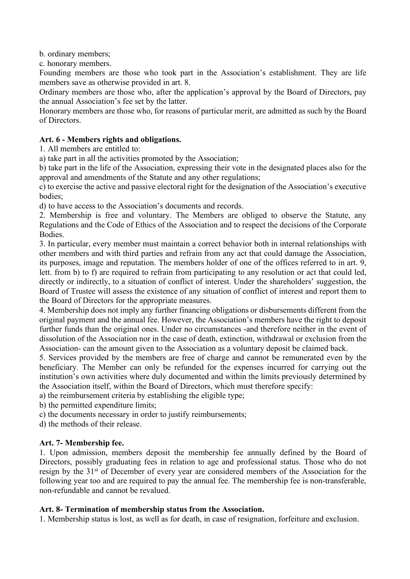b. ordinary members;

c. honorary members.

Founding members are those who took part in the Association's establishment. They are life members save as otherwise provided in art. 8.

Ordinary members are those who, after the application's approval by the Board of Directors, pay the annual Association's fee set by the latter.

Honorary members are those who, for reasons of particular merit, are admitted as such by the Board of Directors.

## **Art. 6 - Members rights and obligations.**

1. All members are entitled to:

a) take part in all the activities promoted by the Association;

b) take part in the life of the Association, expressing their vote in the designated places also for the approval and amendments of the Statute and any other regulations;

c) to exercise the active and passive electoral right for the designation of the Association's executive bodies;

d) to have access to the Association's documents and records.

2. Membership is free and voluntary. The Members are obliged to observe the Statute, any Regulations and the Code of Ethics of the Association and to respect the decisions of the Corporate Bodies.

3. In particular, every member must maintain a correct behavior both in internal relationships with other members and with third parties and refrain from any act that could damage the Association, its purposes, image and reputation. The members holder of one of the offices referred to in art. 9, lett. from b) to f) are required to refrain from participating to any resolution or act that could led, directly or indirectly, to a situation of conflict of interest. Under the shareholders' suggestion, the Board of Trustee will assess the existence of any situation of conflict of interest and report them to the Board of Directors for the appropriate measures.

4. Membership does not imply any further financing obligations or disbursements different from the original payment and the annual fee. However, the Association's members have the right to deposit further funds than the original ones. Under no circumstances -and therefore neither in the event of dissolution of the Association nor in the case of death, extinction, withdrawal or exclusion from the Association- can the amount given to the Association as a voluntary deposit be claimed back.

5. Services provided by the members are free of charge and cannot be remunerated even by the beneficiary. The Member can only be refunded for the expenses incurred for carrying out the institution's own activities where duly documented and within the limits previously determined by the Association itself, within the Board of Directors, which must therefore specify:

a) the reimbursement criteria by establishing the eligible type;

b) the permitted expenditure limits;

c) the documents necessary in order to justify reimbursements;

d) the methods of their release.

# **Art. 7- Membership fee.**

1. Upon admission, members deposit the membership fee annually defined by the Board of Directors, possibly graduating fees in relation to age and professional status. Those who do not resign by the 31st of December of every year are considered members of the Association for the following year too and are required to pay the annual fee. The membership fee is non-transferable, non-refundable and cannot be revalued.

# **Art. 8- Termination of membership status from the Association.**

1. Membership status is lost, as well as for death, in case of resignation, forfeiture and exclusion.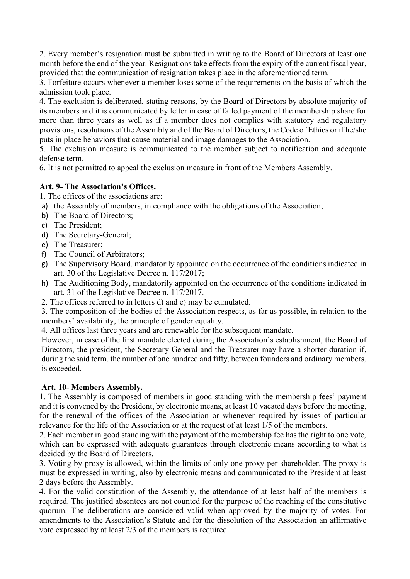2. Every member's resignation must be submitted in writing to the Board of Directors at least one month before the end of the year. Resignations take effects from the expiry of the current fiscal year, provided that the communication of resignation takes place in the aforementioned term.

3. Forfeiture occurs whenever a member loses some of the requirements on the basis of which the admission took place.

4. The exclusion is deliberated, stating reasons, by the Board of Directors by absolute majority of its members and it is communicated by letter in case of failed payment of the membership share for more than three years as well as if a member does not complies with statutory and regulatory provisions, resolutions of the Assembly and of the Board of Directors, the Code of Ethics or if he/she puts in place behaviors that cause material and image damages to the Association.

5. The exclusion measure is communicated to the member subject to notification and adequate defense term.

6. It is not permitted to appeal the exclusion measure in front of the Members Assembly.

# **Art. 9- The Association's Offices.**

1. The offices of the associations are:

- a) the Assembly of members, in compliance with the obligations of the Association;
- b) The Board of Directors;
- c) The President;
- d) The Secretary-General;
- e) The Treasurer;
- f) The Council of Arbitrators;
- g) The Supervisory Board, mandatorily appointed on the occurrence of the conditions indicated in art. 30 of the Legislative Decree n. 117/2017;
- h) The Auditioning Body, mandatorily appointed on the occurrence of the conditions indicated in art. 31 of the Legislative Decree n. 117/2017.
- 2. The offices referred to in letters d) and e) may be cumulated.

3. The composition of the bodies of the Association respects, as far as possible, in relation to the members' availability, the principle of gender equality.

4. All offices last three years and are renewable for the subsequent mandate.

However, in case of the first mandate elected during the Association's establishment, the Board of Directors, the president, the Secretary-General and the Treasurer may have a shorter duration if, during the said term, the number of one hundred and fifty, between founders and ordinary members, is exceeded.

# **Art. 10- Members Assembly.**

1. The Assembly is composed of members in good standing with the membership fees' payment and it is convened by the President, by electronic means, at least 10 vacated days before the meeting, for the renewal of the offices of the Association or whenever required by issues of particular relevance for the life of the Association or at the request of at least 1/5 of the members.

2. Each member in good standing with the payment of the membership fee has the right to one vote, which can be expressed with adequate guarantees through electronic means according to what is decided by the Board of Directors.

3. Voting by proxy is allowed, within the limits of only one proxy per shareholder. The proxy is must be expressed in writing, also by electronic means and communicated to the President at least 2 days before the Assembly.

4. For the valid constitution of the Assembly, the attendance of at least half of the members is required. The justified absentees are not counted for the purpose of the reaching of the constitutive quorum. The deliberations are considered valid when approved by the majority of votes. For amendments to the Association's Statute and for the dissolution of the Association an affirmative vote expressed by at least 2/3 of the members is required.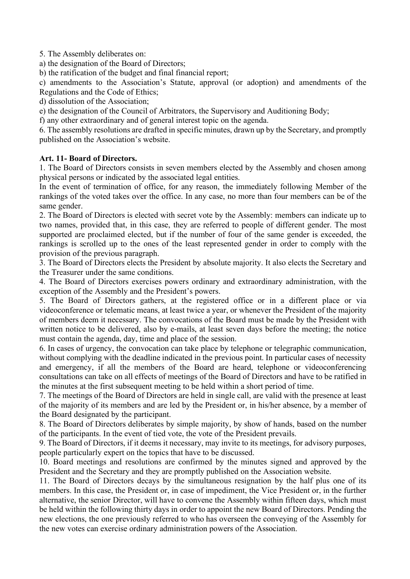5. The Assembly deliberates on:

a) the designation of the Board of Directors;

b) the ratification of the budget and final financial report;

c) amendments to the Association's Statute, approval (or adoption) and amendments of the Regulations and the Code of Ethics;

d) dissolution of the Association;

e) the designation of the Council of Arbitrators, the Supervisory and Auditioning Body;

f) any other extraordinary and of general interest topic on the agenda.

6. The assembly resolutions are drafted in specific minutes, drawn up by the Secretary, and promptly published on the Association's website.

## **Art. 11- Board of Directors.**

1. The Board of Directors consists in seven members elected by the Assembly and chosen among physical persons or indicated by the associated legal entities.

In the event of termination of office, for any reason, the immediately following Member of the rankings of the voted takes over the office. In any case, no more than four members can be of the same gender.

2. The Board of Directors is elected with secret vote by the Assembly: members can indicate up to two names, provided that, in this case, they are referred to people of different gender. The most supported are proclaimed elected, but if the number of four of the same gender is exceeded, the rankings is scrolled up to the ones of the least represented gender in order to comply with the provision of the previous paragraph.

3. The Board of Directors elects the President by absolute majority. It also elects the Secretary and the Treasurer under the same conditions.

4. The Board of Directors exercises powers ordinary and extraordinary administration, with the exception of the Assembly and the President's powers.

5. The Board of Directors gathers, at the registered office or in a different place or via videoconference or telematic means, at least twice a year, or whenever the President of the majority of members deem it necessary. The convocations of the Board must be made by the President with written notice to be delivered, also by e-mails, at least seven days before the meeting; the notice must contain the agenda, day, time and place of the session.

6. In cases of urgency, the convocation can take place by telephone or telegraphic communication, without complying with the deadline indicated in the previous point. In particular cases of necessity and emergency, if all the members of the Board are heard, telephone or videoconferencing consultations can take on all effects of meetings of the Board of Directors and have to be ratified in the minutes at the first subsequent meeting to be held within a short period of time.

7. The meetings of the Board of Directors are held in single call, are valid with the presence at least of the majority of its members and are led by the President or, in his/her absence, by a member of the Board designated by the participant.

8. The Board of Directors deliberates by simple majority, by show of hands, based on the number of the participants. In the event of tied vote, the vote of the President prevails.

9. The Board of Directors, if it deems it necessary, may invite to its meetings, for advisory purposes, people particularly expert on the topics that have to be discussed.

10. Board meetings and resolutions are confirmed by the minutes signed and approved by the President and the Secretary and they are promptly published on the Association website.

11. The Board of Directors decays by the simultaneous resignation by the half plus one of its members. In this case, the President or, in case of impediment, the Vice President or, in the further alternative, the senior Director, will have to convene the Assembly within fifteen days, which must be held within the following thirty days in order to appoint the new Board of Directors. Pending the new elections, the one previously referred to who has overseen the conveying of the Assembly for the new votes can exercise ordinary administration powers of the Association.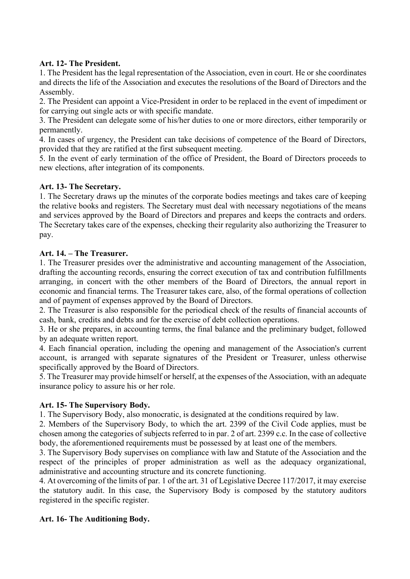# **Art. 12- The President.**

1. The President has the legal representation of the Association, even in court. He or she coordinates and directs the life of the Association and executes the resolutions of the Board of Directors and the Assembly.

2. The President can appoint a Vice-President in order to be replaced in the event of impediment or for carrying out single acts or with specific mandate.

3. The President can delegate some of his/her duties to one or more directors, either temporarily or permanently.

4. In cases of urgency, the President can take decisions of competence of the Board of Directors, provided that they are ratified at the first subsequent meeting.

5. In the event of early termination of the office of President, the Board of Directors proceeds to new elections, after integration of its components.

# **Art. 13- The Secretary.**

1. The Secretary draws up the minutes of the corporate bodies meetings and takes care of keeping the relative books and registers. The Secretary must deal with necessary negotiations of the means and services approved by the Board of Directors and prepares and keeps the contracts and orders. The Secretary takes care of the expenses, checking their regularity also authorizing the Treasurer to pay.

## **Art. 14. – The Treasurer.**

1. The Treasurer presides over the administrative and accounting management of the Association, drafting the accounting records, ensuring the correct execution of tax and contribution fulfillments arranging, in concert with the other members of the Board of Directors, the annual report in economic and financial terms. The Treasurer takes care, also, of the formal operations of collection and of payment of expenses approved by the Board of Directors.

2. The Treasurer is also responsible for the periodical check of the results of financial accounts of cash, bank, credits and debts and for the exercise of debt collection operations.

3. He or she prepares, in accounting terms, the final balance and the preliminary budget, followed by an adequate written report.

4. Each financial operation, including the opening and management of the Association's current account, is arranged with separate signatures of the President or Treasurer, unless otherwise specifically approved by the Board of Directors.

5. The Treasurer may provide himself or herself, at the expenses of the Association, with an adequate insurance policy to assure his or her role.

#### **Art. 15- The Supervisory Body.**

1. The Supervisory Body, also monocratic, is designated at the conditions required by law.

2. Members of the Supervisory Body, to which the art. 2399 of the Civil Code applies, must be chosen among the categories of subjects referred to in par. 2 of art. 2399 c.c. In the case of collective body, the aforementioned requirements must be possessed by at least one of the members.

3. The Supervisory Body supervises on compliance with law and Statute of the Association and the respect of the principles of proper administration as well as the adequacy organizational, administrative and accounting structure and its concrete functioning.

4. At overcoming of the limits of par. 1 of the art. 31 of Legislative Decree 117/2017, it may exercise the statutory audit. In this case, the Supervisory Body is composed by the statutory auditors registered in the specific register.

# **Art. 16- The Auditioning Body.**